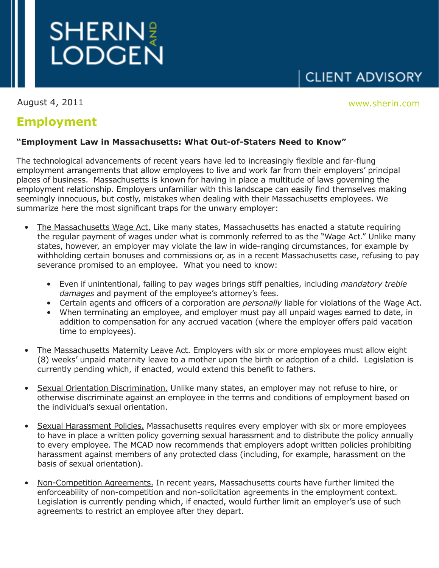

August 4, 2011

## **CLIENT ADVISORY**

August 4, 2011 **Marshall** Marshall Marshall Marshall Marshall Marshall Marshall Marshall Marshall Marshall Marsh<br>The Marshall Marshall Marshall Marshall Marshall Marshall Marshall Marshall Marshall Marshall Marshall Marsha

## **Employment**

## **"Employment Law in Massachusetts: What Out-of-Staters Need to Know"**

The technological advancements of recent years have led to increasingly flexible and far-flung employment arrangements that allow employees to live and work far from their employers' principal places of business. Massachusetts is known for having in place a multitude of laws governing the employment relationship. Employers unfamiliar with this landscape can easily find themselves making seemingly innocuous, but costly, mistakes when dealing with their Massachusetts employees. We summarize here the most significant traps for the unwary employer:

- The Massachusetts Wage Act. Like many states, Massachusetts has enacted a statute requiring the regular payment of wages under what is commonly referred to as the "Wage Act." Unlike many states, however, an employer may violate the law in wide-ranging circumstances, for example by withholding certain bonuses and commissions or, as in a recent Massachusetts case, refusing to pay severance promised to an employee. What you need to know:
	- Even if unintentional, failing to pay wages brings stiff penalties, including *mandatory treble damages* and payment of the employee's attorney's fees.
	- Certain agents and officers of a corporation are *personally* liable for violations of the Wage Act.
	- When terminating an employee, and employer must pay all unpaid wages earned to date, in addition to compensation for any accrued vacation (where the employer offers paid vacation time to employees).
- The Massachusetts Maternity Leave Act. Employers with six or more employees must allow eight (8) weeks' unpaid maternity leave to a mother upon the birth or adoption of a child. Legislation is currently pending which, if enacted, would extend this benefit to fathers.
- Sexual Orientation Discrimination. Unlike many states, an employer may not refuse to hire, or otherwise discriminate against an employee in the terms and conditions of employment based on the individual's sexual orientation.
- Sexual Harassment Policies. Massachusetts requires every employer with six or more employees to have in place a written policy governing sexual harassment and to distribute the policy annually to every employee. The MCAD now recommends that employers adopt written policies prohibiting harassment against members of any protected class (including, for example, harassment on the basis of sexual orientation).
- Non-Competition Agreements. In recent years, Massachusetts courts have further limited the enforceability of non-competition and non-solicitation agreements in the employment context. Legislation is currently pending which, if enacted, would further limit an employer's use of such agreements to restrict an employee after they depart.